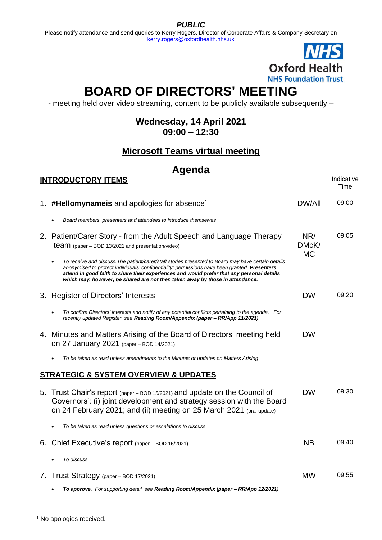*PUBLIC*

Please notify attendance and send queries to Kerry Rogers, Director of Corporate Affairs & Company Secretary on [kerry.rogers@oxfordhealth.nhs.uk](mailto:kerry.rogers@oxfordhealth.nhs.uk)



# **BOARD OF DIRECTORS' MEETING**

- meeting held over video streaming, content to be publicly available subsequently –

#### **Wednesday, 14 April 2021 09:00 – 12:30**

### **Microsoft Teams virtual meeting**

## **Agenda**

| <b>INTRODUCTORY ITEMS</b>                                                                                                                                                                                                                                                                                                                                                           |                           | Indicative<br>Time |
|-------------------------------------------------------------------------------------------------------------------------------------------------------------------------------------------------------------------------------------------------------------------------------------------------------------------------------------------------------------------------------------|---------------------------|--------------------|
| 1. #Hellomynameis and apologies for absence <sup>1</sup>                                                                                                                                                                                                                                                                                                                            | <b>DW/All</b>             | 09:00              |
| Board members, presenters and attendees to introduce themselves                                                                                                                                                                                                                                                                                                                     |                           |                    |
| 2. Patient/Carer Story - from the Adult Speech and Language Therapy<br>team (paper - BOD 13/2021 and presentation/video)                                                                                                                                                                                                                                                            | NR/<br>DMcK/<br><b>MC</b> | 09:05              |
| To receive and discuss. The patient/carer/staff stories presented to Board may have certain details<br>anonymised to protect individuals' confidentiality; permissions have been granted. Presenters<br>attend in good faith to share their experiences and would prefer that any personal details<br>which may, however, be shared are not then taken away by those in attendance. |                           |                    |
| 3. Register of Directors' Interests                                                                                                                                                                                                                                                                                                                                                 | <b>DW</b>                 | 09:20              |
| To confirm Directors' interests and notify of any potential conflicts pertaining to the agenda. For<br>recently updated Register, see Reading Room/Appendix (paper – RR/App 11/2021)                                                                                                                                                                                                |                           |                    |
| 4. Minutes and Matters Arising of the Board of Directors' meeting held<br>on 27 January 2021 (paper - BOD 14/2021)                                                                                                                                                                                                                                                                  | <b>DW</b>                 |                    |
| To be taken as read unless amendments to the Minutes or updates on Matters Arising                                                                                                                                                                                                                                                                                                  |                           |                    |
| <b>STRATEGIC &amp; SYSTEM OVERVIEW &amp; UPDATES</b>                                                                                                                                                                                                                                                                                                                                |                           |                    |
| 5. Trust Chair's report (paper – BOD 15/2021) and update on the Council of<br>Governors': (i) joint development and strategy session with the Board<br>on 24 February 2021; and (ii) meeting on 25 March 2021 (oral update)                                                                                                                                                         | <b>DW</b>                 | 09:30              |
| To be taken as read unless questions or escalations to discuss                                                                                                                                                                                                                                                                                                                      |                           |                    |
| 6. Chief Executive's report (paper – BOD 16/2021)                                                                                                                                                                                                                                                                                                                                   | <b>NB</b>                 | 09:40              |
| To discuss.                                                                                                                                                                                                                                                                                                                                                                         |                           |                    |
| 7. Trust Strategy (paper - BOD 17/2021)                                                                                                                                                                                                                                                                                                                                             | <b>MW</b>                 | 09:55              |
|                                                                                                                                                                                                                                                                                                                                                                                     |                           |                    |

<sup>•</sup> *To approve. For supporting detail, see Reading Room/Appendix (paper – RR/App 12/2021)* 

<sup>&</sup>lt;sup>1</sup> No apologies received.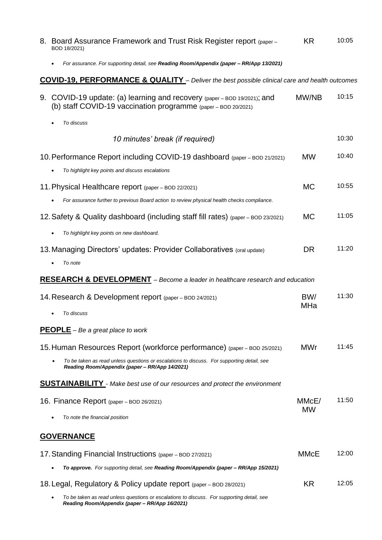|                                                                                                          | 8. Board Assurance Framework and Trust Risk Register report (paper -<br>BOD 18/2021)                                                         | <b>KR</b>   | 10:05 |  |  |  |
|----------------------------------------------------------------------------------------------------------|----------------------------------------------------------------------------------------------------------------------------------------------|-------------|-------|--|--|--|
|                                                                                                          | For assurance. For supporting detail, see Reading Room/Appendix (paper - RR/App 13/2021)                                                     |             |       |  |  |  |
| <b>COVID-19, PERFORMANCE &amp; QUALITY</b> - Deliver the best possible clinical care and health outcomes |                                                                                                                                              |             |       |  |  |  |
|                                                                                                          | 9. COVID-19 update: (a) learning and recovery (paper – BOD 19/2021); and<br>(b) staff COVID-19 vaccination programme (paper - BOD 20/2021)   | MW/NB       | 10:15 |  |  |  |
|                                                                                                          | To discuss                                                                                                                                   |             |       |  |  |  |
|                                                                                                          | 10 minutes' break (if required)                                                                                                              |             | 10:30 |  |  |  |
|                                                                                                          | 10. Performance Report including COVID-19 dashboard (paper – BOD 21/2021)<br>To highlight key points and discuss escalations                 | <b>MW</b>   | 10:40 |  |  |  |
|                                                                                                          | 11. Physical Healthcare report (paper – BOD 22/2021)                                                                                         | <b>MC</b>   | 10:55 |  |  |  |
|                                                                                                          | For assurance further to previous Board action to review physical health checks compliance.                                                  |             |       |  |  |  |
|                                                                                                          | 12. Safety & Quality dashboard (including staff fill rates) (paper – BOD 23/2021)                                                            | <b>MC</b>   | 11:05 |  |  |  |
|                                                                                                          | To highlight key points on new dashboard.                                                                                                    |             |       |  |  |  |
|                                                                                                          | 13. Managing Directors' updates: Provider Collaboratives (oral update)<br>To note                                                            | <b>DR</b>   | 11:20 |  |  |  |
|                                                                                                          | <b>RESEARCH &amp; DEVELOPMENT</b> - Become a leader in healthcare research and education                                                     |             |       |  |  |  |
|                                                                                                          | 14. Research & Development report (paper – BOD 24/2021)                                                                                      | BW/<br>MHa  | 11:30 |  |  |  |
|                                                                                                          | To discuss                                                                                                                                   |             |       |  |  |  |
|                                                                                                          | <b>PEOPLE</b> – Be a great place to work                                                                                                     |             |       |  |  |  |
|                                                                                                          | 15. Human Resources Report (workforce performance) (paper – BOD 25/2021)                                                                     | <b>MWr</b>  | 11:45 |  |  |  |
|                                                                                                          | To be taken as read unless questions or escalations to discuss. For supporting detail, see<br>Reading Room/Appendix (paper - RR/App 14/2021) |             |       |  |  |  |
|                                                                                                          | <b>SUSTAINABILITY</b> - Make best use of our resources and protect the environment                                                           |             |       |  |  |  |
|                                                                                                          | 16. Finance Report (paper – BOD 26/2021)                                                                                                     | MMcE/       | 11:50 |  |  |  |
|                                                                                                          | To note the financial position                                                                                                               | <b>MW</b>   |       |  |  |  |
|                                                                                                          | <b>GOVERNANCE</b>                                                                                                                            |             |       |  |  |  |
|                                                                                                          | 17. Standing Financial Instructions (paper - BOD 27/2021)                                                                                    | <b>MMcE</b> | 12:00 |  |  |  |
|                                                                                                          | To approve. For supporting detail, see Reading Room/Appendix (paper – RR/App 15/2021)                                                        |             |       |  |  |  |
|                                                                                                          | 18. Legal, Regulatory & Policy update report (paper – BOD 28/2021)                                                                           | KR          | 12:05 |  |  |  |
|                                                                                                          | To be taken as read unless questions or escalations to discuss. For supporting detail, see<br>Reading Room/Appendix (paper - RR/App 16/2021) |             |       |  |  |  |